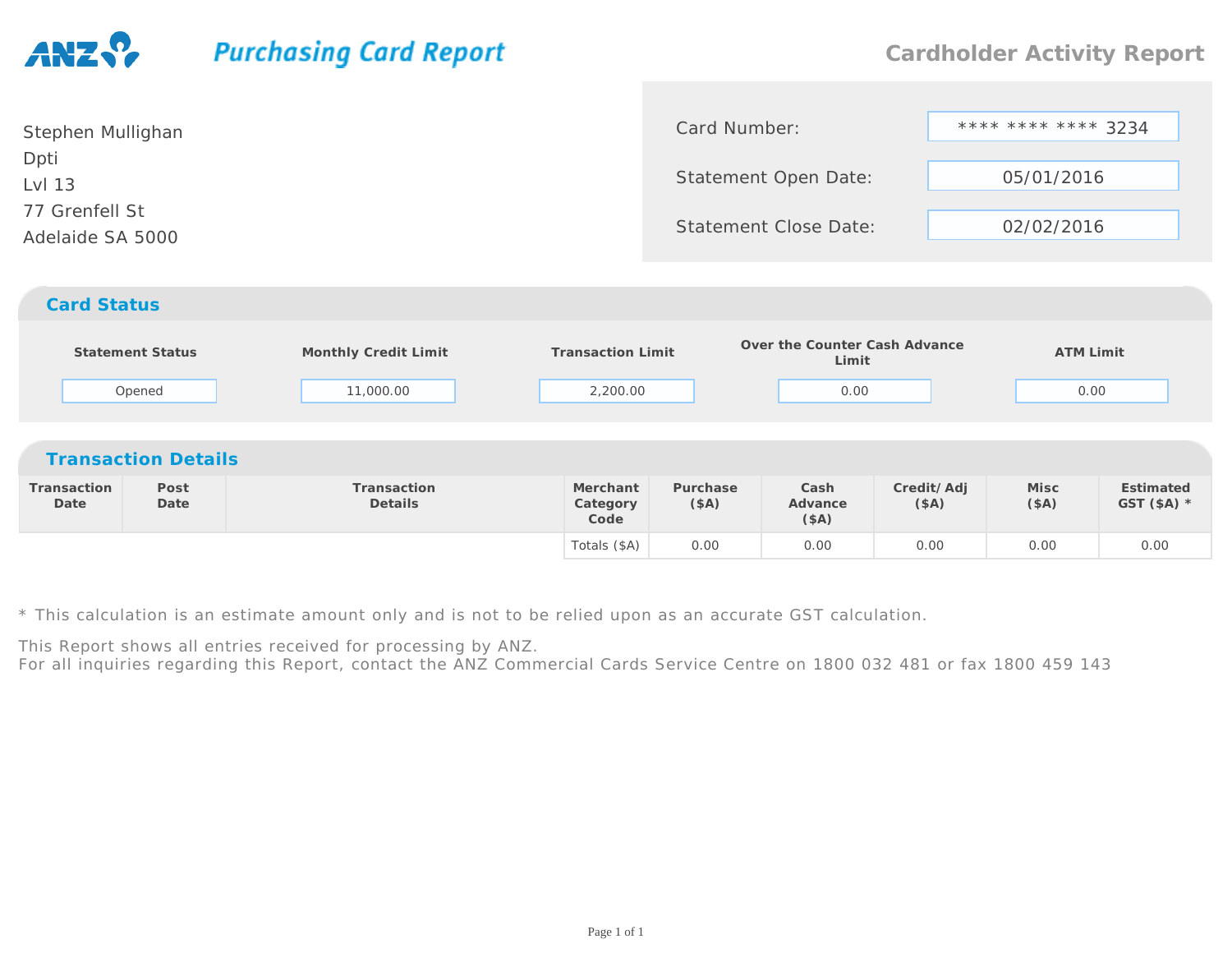## **Purchasing Card Report**

| Stephen Mullighan                  | Card Number:                 | **** **** **** 3234 |
|------------------------------------|------------------------------|---------------------|
| Dpti<br>Lvl 13                     | Statement Open Date:         | 05/01/2016          |
| 77 Grenfell St<br>Adelaide SA 5000 | <b>Statement Close Date:</b> | 02/02/2016          |
| <b>Card Status</b>                 |                              |                     |

|                     | <b>Statement Status</b><br>Opened | Monthly Credit Limit<br>11,000.00 | <b>Transaction Limit</b><br>2,200.00 |                  | Over the Counter Cash Advance<br>Limit<br>0.00 |                    | <b>ATM Limit</b><br>0.00 |                           |  |  |
|---------------------|-----------------------------------|-----------------------------------|--------------------------------------|------------------|------------------------------------------------|--------------------|--------------------------|---------------------------|--|--|
|                     | <b>Transaction Details</b>        |                                   |                                      |                  |                                                |                    |                          |                           |  |  |
| Transaction<br>Date | Post<br>Date                      | Transaction<br>Details            | Merchant<br>Category<br>Code         | Purchase<br>(SA) | Cash<br>Advance<br>(\$A)                       | Credit/Adj<br>(SA) | Misc<br>(SA)             | Estimated<br>GST $(SA)$ * |  |  |
|                     |                                   |                                   | Totals (\$A)                         | 0.00             | 0.00                                           | 0.00               | 0.00                     | 0.00                      |  |  |

\* This calculation is an estimate amount only and is not to be relied upon as an accurate GST calculation.

This Report shows all entries received for processing by ANZ.

For all inquiries regarding this Report, contact the ANZ Commercial Cards Service Centre on 1800 032 481 or fax 1800 459 143